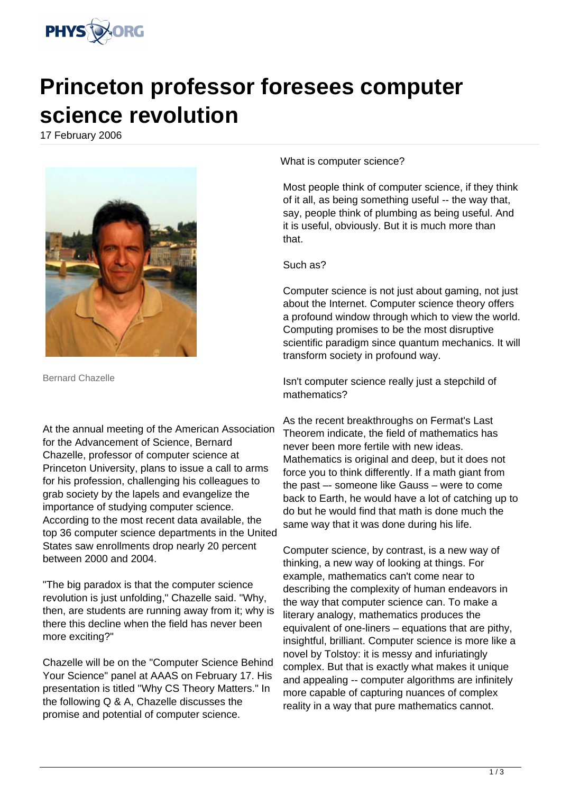

## **Princeton professor foresees computer science revolution**

17 February 2006



Bernard Chazelle

At the annual meeting of the American Association for the Advancement of Science, Bernard Chazelle, professor of computer science at Princeton University, plans to issue a call to arms for his profession, challenging his colleagues to grab society by the lapels and evangelize the importance of studying computer science. According to the most recent data available, the top 36 computer science departments in the United States saw enrollments drop nearly 20 percent between 2000 and 2004.

"The big paradox is that the computer science revolution is just unfolding," Chazelle said. "Why, then, are students are running away from it; why is there this decline when the field has never been more exciting?"

Chazelle will be on the "Computer Science Behind Your Science" panel at AAAS on February 17. His presentation is titled "Why CS Theory Matters." In the following Q & A, Chazelle discusses the promise and potential of computer science.

What is computer science?

Most people think of computer science, if they think of it all, as being something useful -- the way that, say, people think of plumbing as being useful. And it is useful, obviously. But it is much more than that.

## Such as?

Computer science is not just about gaming, not just about the Internet. Computer science theory offers a profound window through which to view the world. Computing promises to be the most disruptive scientific paradigm since quantum mechanics. It will transform society in profound way.

Isn't computer science really just a stepchild of mathematics?

As the recent breakthroughs on Fermat's Last Theorem indicate, the field of mathematics has never been more fertile with new ideas. Mathematics is original and deep, but it does not force you to think differently. If a math giant from the past –- someone like Gauss – were to come back to Earth, he would have a lot of catching up to do but he would find that math is done much the same way that it was done during his life.

Computer science, by contrast, is a new way of thinking, a new way of looking at things. For example, mathematics can't come near to describing the complexity of human endeavors in the way that computer science can. To make a literary analogy, mathematics produces the equivalent of one-liners – equations that are pithy, insightful, brilliant. Computer science is more like a novel by Tolstoy: it is messy and infuriatingly complex. But that is exactly what makes it unique and appealing -- computer algorithms are infinitely more capable of capturing nuances of complex reality in a way that pure mathematics cannot.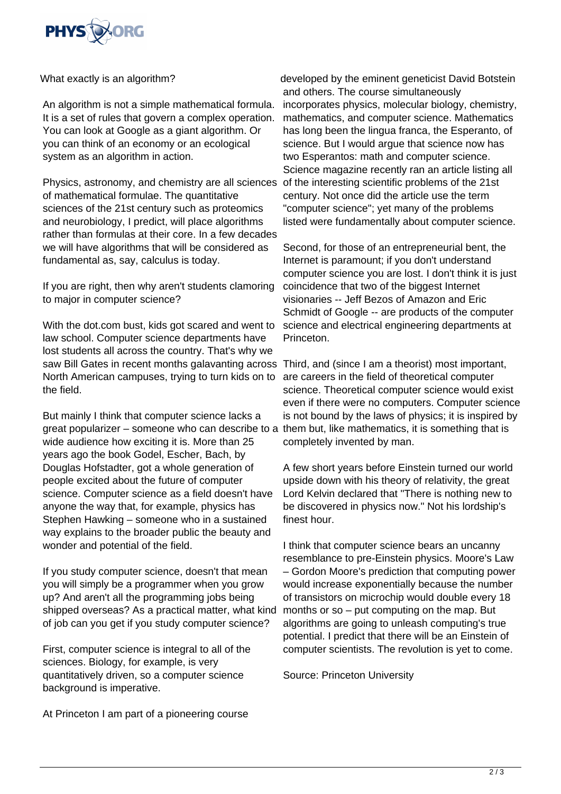

What exactly is an algorithm?

An algorithm is not a simple mathematical formula. It is a set of rules that govern a complex operation. You can look at Google as a giant algorithm. Or you can think of an economy or an ecological system as an algorithm in action.

Physics, astronomy, and chemistry are all sciences of mathematical formulae. The quantitative sciences of the 21st century such as proteomics and neurobiology, I predict, will place algorithms rather than formulas at their core. In a few decades we will have algorithms that will be considered as fundamental as, say, calculus is today.

If you are right, then why aren't students clamoring to major in computer science?

With the dot.com bust, kids got scared and went to law school. Computer science departments have lost students all across the country. That's why we saw Bill Gates in recent months galavanting across Third, and (since I am a theorist) most important, North American campuses, trying to turn kids on to the field.

But mainly I think that computer science lacks a great popularizer – someone who can describe to a wide audience how exciting it is. More than 25 years ago the book Godel, Escher, Bach, by Douglas Hofstadter, got a whole generation of people excited about the future of computer science. Computer science as a field doesn't have anyone the way that, for example, physics has Stephen Hawking – someone who in a sustained way explains to the broader public the beauty and wonder and potential of the field.

If you study computer science, doesn't that mean you will simply be a programmer when you grow up? And aren't all the programming jobs being shipped overseas? As a practical matter, what kind of job can you get if you study computer science?

First, computer science is integral to all of the sciences. Biology, for example, is very quantitatively driven, so a computer science background is imperative.

At Princeton I am part of a pioneering course

developed by the eminent geneticist David Botstein and others. The course simultaneously incorporates physics, molecular biology, chemistry, mathematics, and computer science. Mathematics has long been the lingua franca, the Esperanto, of science. But I would argue that science now has two Esperantos: math and computer science. Science magazine recently ran an article listing all of the interesting scientific problems of the 21st century. Not once did the article use the term "computer science"; yet many of the problems listed were fundamentally about computer science.

Second, for those of an entrepreneurial bent, the Internet is paramount; if you don't understand computer science you are lost. I don't think it is just coincidence that two of the biggest Internet visionaries -- Jeff Bezos of Amazon and Eric Schmidt of Google -- are products of the computer science and electrical engineering departments at Princeton.

are careers in the field of theoretical computer science. Theoretical computer science would exist even if there were no computers. Computer science is not bound by the laws of physics; it is inspired by them but, like mathematics, it is something that is completely invented by man.

A few short years before Einstein turned our world upside down with his theory of relativity, the great Lord Kelvin declared that "There is nothing new to be discovered in physics now." Not his lordship's finest hour.

I think that computer science bears an uncanny resemblance to pre-Einstein physics. Moore's Law – Gordon Moore's prediction that computing power would increase exponentially because the number of transistors on microchip would double every 18 months or so – put computing on the map. But algorithms are going to unleash computing's true potential. I predict that there will be an Einstein of computer scientists. The revolution is yet to come.

Source: Princeton University